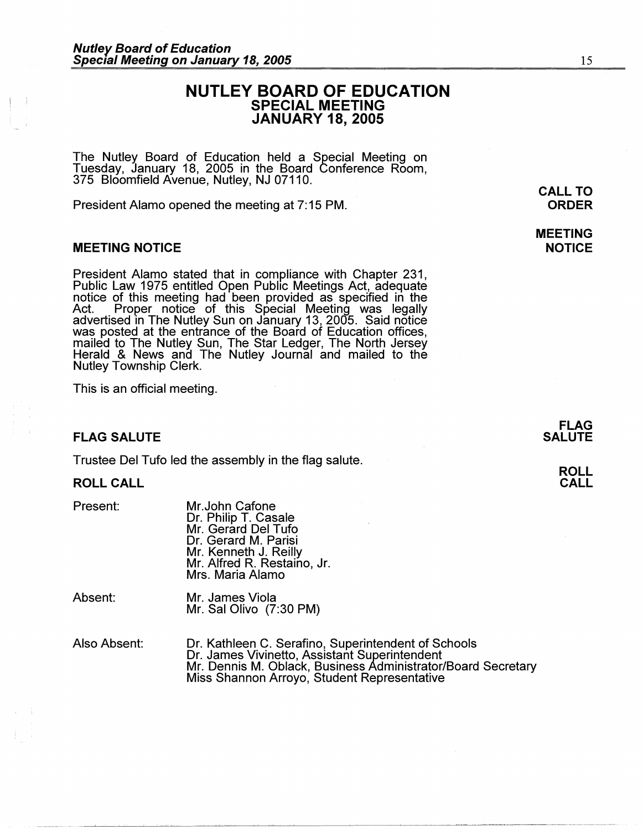# **NUTLEY BOARD OF EDUCATION SPECIAL MEETING JANUARY 18, 2005**

The Nutley Board of Education held a Special Meeting on Tuesday, January 18, 2005 in the Board Conference Room, 375 Bloomfield Avenue, Nutley, NJ 07110.

President Alamo opened the meeting at 7: 15 PM.

### **MEETING NOTICE**

President Alamo stated that in compliance with Chapter 231, Public Law 1975 entitled Open Public Meetings Act, adequate notice of this meeting had been provided as specified in the Act. Proper notice of this Special Meeting was legally advertised in The Nutley Sun on January 13, 2005. Said notice was posted at the entrance of the Board of Education offices, mailed to The Nutley Sun, The Star Ledger, The North Jersey Herald & News and The Nutley Journal and mailed to the Nutley Township Clerk.

This is an official meeting.

### **FLAG SALUTE**

Trustee Del Tufo led the assembly in the flag salute.

#### **ROLL CALL**

Present:

Mr.John Catone Dr. Philip T. Casale Mr. Gerard Del Tufo Dr. Gerard M. Parisi Mr. Kenneth J. Reilly Mr. Alfred R. Restaino, Jr. Mrs. Maria Alamo

Absent: Mr. James Viola Mr. Sal Olivo (7:30 PM)

Also Absent: Dr. Kathleen C. Serafino, Superintendent of Schools Dr. James Vivinetto, Assistant Superintendent Mr. Dennis M. Oblack, Business Administrator/Board Secretary Miss Shannon Arroyo, Student Representative

~~~~~~-~~-~~-~ --- ----~-~--- -------------------------------

**MEETING NOTICE** 

15